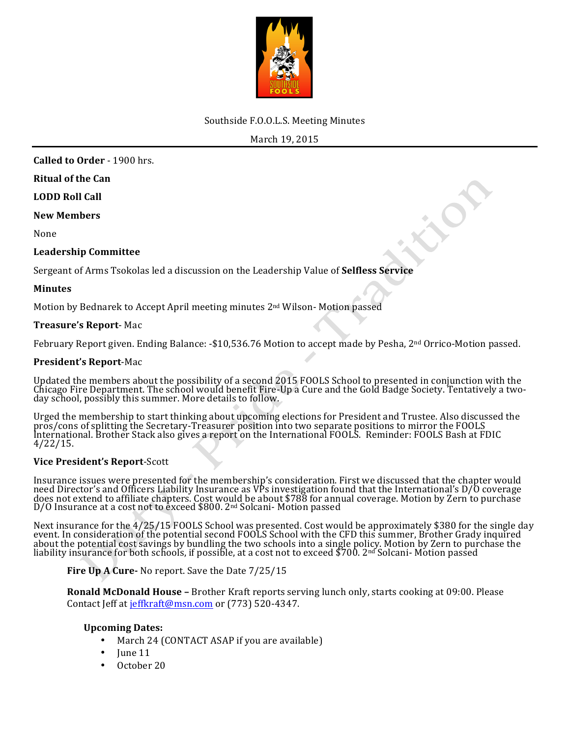

# Southside F.O.O.L.S. Meeting Minutes

March 19, 2015

**Called to Order** - 1900 hrs.

**Ritual of the Can**

**LODD Roll Call** 

**New Members**

None

# **Leadership Committee**

Sergeant of Arms Tsokolas led a discussion on the Leadership Value of **Selfless Service** 

#### **Minutes**

Motion by Bednarek to Accept April meeting minutes 2<sup>nd</sup> Wilson- Motion passed

# **Treasure's Report**- Mac

February Report given. Ending Balance: -\$10,536.76 Motion to accept made by Pesha, 2<sup>nd</sup> Orrico-Motion passed.

# **President's Report-Mac**

Updated the members about the possibility of a second 2015 FOOLS School to presented in conjunction with the Chicago Fire Department. The school would benefit Fire-Up a Cure and the Gold Badge Society. Tentatively a two-da

Urged the membership to start thinking about upcoming elections for President and Trustee. Also discussed the<br>pros/cons of splitting the Secretary-Treasurer position into two separate positions to mirror the FOOLS<br>Internat 4/22/15.

#### **Vice President's Report**-Scott

Insurance issues were presented for the membership's consideration. First we discussed that the chapter would<br>need Director's and Officers Liability Insurance as VPs investigation found that the International's D/O coverag does not extend to affiliate chapters. Cost would be about \$788 for annual coverage. Motion by Zern to purchase<br>D/O Insurance at a cost not to exceed \$800. 2nd Solcani- Motion passed

Next insurance for the 4/25/15 FOOLS School was presented. Cost would be approximately \$380 for the single day<br>event. In consideration of the potential second FOOLS School with the CFD this summer, Brother Grady inquired about the potential cost savings by bundling the two schools into a single policy. Motion by Zern to purchase the liability insurance for both schools, if possible, at a cost not to exceed \$700. 2<sup>nd</sup> Solcani- Motion passe

**Fire Up A Cure-** No report. Save the Date  $7/25/15$ 

**Ronald McDonald House** – Brother Kraft reports serving lunch only, starts cooking at 09:00. Please Contact Jeff at jeffkraft@msn.com or (773) 520-4347.

# **Upcoming Dates:**

- March 24 (CONTACT ASAP if you are available)
- Iune 11
- October 20